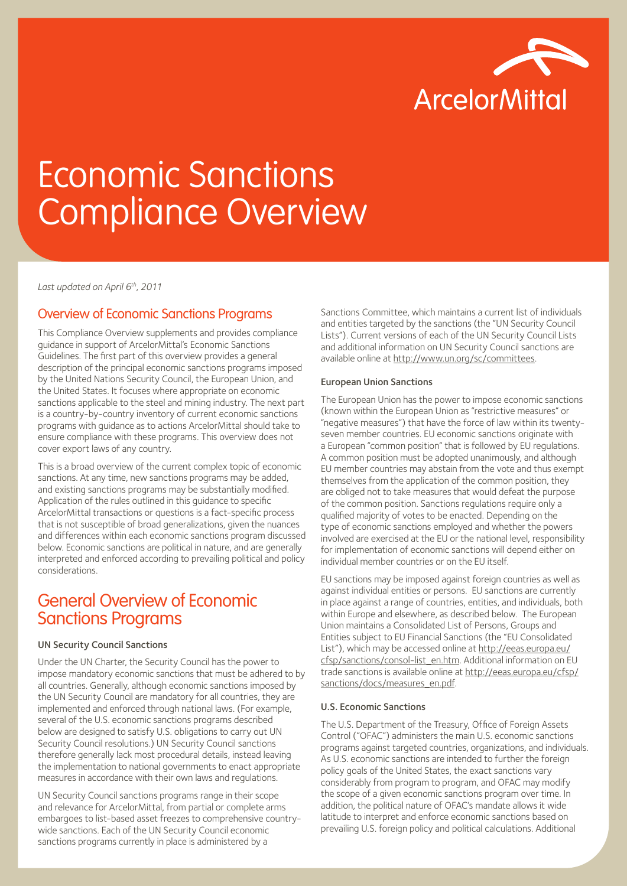

# Economic Sanctions Compliance Overview

*Last updated on April 6th, 2011* 

## Overview of Economic Sanctions Programs

This Compliance Overview supplements and provides compliance guidance in support of ArcelorMittal's Economic Sanctions Guidelines. The first part of this overview provides a general description of the principal economic sanctions programs imposed by the United Nations Security Council, the European Union, and the United States. It focuses where appropriate on economic sanctions applicable to the steel and mining industry. The next part is a country-by-country inventory of current economic sanctions programs with guidance as to actions ArcelorMittal should take to ensure compliance with these programs. This overview does not cover export laws of any country.

This is a broad overview of the current complex topic of economic sanctions. At any time, new sanctions programs may be added, and existing sanctions programs may be substantially modified. Application of the rules outlined in this guidance to specific ArcelorMittal transactions or questions is a fact-specific process that is not susceptible of broad generalizations, given the nuances and differences within each economic sanctions program discussed below. Economic sanctions are political in nature, and are generally interpreted and enforced according to prevailing political and policy considerations.

# General Overview of Economic Sanctions Programs

#### UN Security Council Sanctions

Under the UN Charter, the Security Council has the power to impose mandatory economic sanctions that must be adhered to by all countries. Generally, although economic sanctions imposed by the UN Security Council are mandatory for all countries, they are implemented and enforced through national laws. (For example, several of the U.S. economic sanctions programs described below are designed to satisfy U.S. obligations to carry out UN Security Council resolutions.) UN Security Council sanctions therefore generally lack most procedural details, instead leaving the implementation to national governments to enact appropriate measures in accordance with their own laws and regulations.

UN Security Council sanctions programs range in their scope and relevance for ArcelorMittal, from partial or complete arms embargoes to list-based asset freezes to comprehensive countrywide sanctions. Each of the UN Security Council economic sanctions programs currently in place is administered by a

Sanctions Committee, which maintains a current list of individuals and entities targeted by the sanctions (the "UN Security Council Lists"). Current versions of each of the UN Security Council Lists and additional information on UN Security Council sanctions are available online at http://www.un.org/sc/committees.

#### European Union Sanctions

The European Union has the power to impose economic sanctions (known within the European Union as "restrictive measures" or "negative measures") that have the force of law within its twentyseven member countries. EU economic sanctions originate with a European "common position" that is followed by EU regulations. A common position must be adopted unanimously, and although EU member countries may abstain from the vote and thus exempt themselves from the application of the common position, they are obliged not to take measures that would defeat the purpose of the common position. Sanctions regulations require only a qualified majority of votes to be enacted. Depending on the type of economic sanctions employed and whether the powers involved are exercised at the EU or the national level, responsibility for implementation of economic sanctions will depend either on individual member countries or on the EU itself.

EU sanctions may be imposed against foreign countries as well as against individual entities or persons. EU sanctions are currently in place against a range of countries, entities, and individuals, both within Europe and elsewhere, as described below. The European Union maintains a Consolidated List of Persons, Groups and Entities subject to EU Financial Sanctions (the "EU Consolidated List"), which may be accessed online at http://eeas.europa.eu/ cfsp/sanctions/consol-list\_en.htm. Additional information on EU trade sanctions is available online at http://eeas.europa.eu/cfsp/ sanctions/docs/measures\_en.pdf.

#### U.S. Economic Sanctions

The U.S. Department of the Treasury, Office of Foreign Assets Control ("OFAC") administers the main U.S. economic sanctions programs against targeted countries, organizations, and individuals. As U.S. economic sanctions are intended to further the foreign policy goals of the United States, the exact sanctions vary considerably from program to program, and OFAC may modify the scope of a given economic sanctions program over time. In addition, the political nature of OFAC's mandate allows it wide latitude to interpret and enforce economic sanctions based on prevailing U.S. foreign policy and political calculations. Additional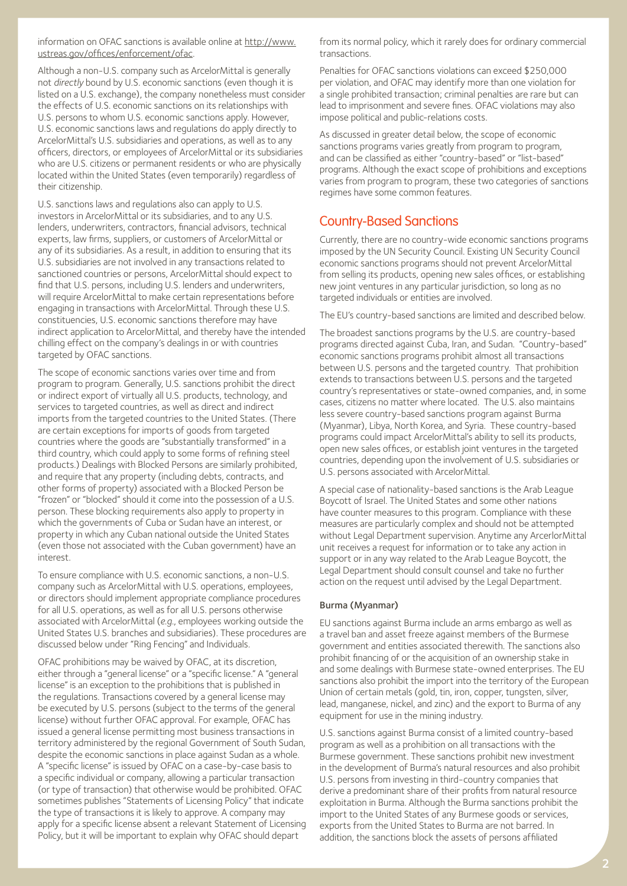information on OFAC sanctions is available online at http://www. ustreas.gov/offices/enforcement/ofac.

Although a non-U.S. company such as ArcelorMittal is generally not *directly* bound by U.S. economic sanctions (even though it is listed on a U.S. exchange), the company nonetheless must consider the effects of U.S. economic sanctions on its relationships with U.S. persons to whom U.S. economic sanctions apply. However, U.S. economic sanctions laws and regulations do apply directly to ArcelorMittal's U.S. subsidiaries and operations, as well as to any officers, directors, or employees of ArcelorMittal or its subsidiaries who are U.S. citizens or permanent residents or who are physically located within the United States (even temporarily) regardless of their citizenship.

U.S. sanctions laws and regulations also can apply to U.S. investors in ArcelorMittal or its subsidiaries, and to any U.S. lenders, underwriters, contractors, financial advisors, technical experts, law firms, suppliers, or customers of ArcelorMittal or any of its subsidiaries. As a result, in addition to ensuring that its U.S. subsidiaries are not involved in any transactions related to sanctioned countries or persons, ArcelorMittal should expect to find that U.S. persons, including U.S. lenders and underwriters, will require ArcelorMittal to make certain representations before engaging in transactions with ArcelorMittal. Through these U.S. constituencies, U.S. economic sanctions therefore may have indirect application to ArcelorMittal, and thereby have the intended chilling effect on the company's dealings in or with countries targeted by OFAC sanctions.

The scope of economic sanctions varies over time and from program to program. Generally, U.S. sanctions prohibit the direct or indirect export of virtually all U.S. products, technology, and services to targeted countries, as well as direct and indirect imports from the targeted countries to the United States. (There are certain exceptions for imports of goods from targeted countries where the goods are "substantially transformed" in a third country, which could apply to some forms of refining steel products.) Dealings with Blocked Persons are similarly prohibited, and require that any property (including debts, contracts, and other forms of property) associated with a Blocked Person be "frozen" or "blocked" should it come into the possession of a U.S. person. These blocking requirements also apply to property in which the governments of Cuba or Sudan have an interest, or property in which any Cuban national outside the United States (even those not associated with the Cuban government) have an interest.

To ensure compliance with U.S. economic sanctions, a non-U.S. company such as ArcelorMittal with U.S. operations, employees, or directors should implement appropriate compliance procedures for all U.S. operations, as well as for all U.S. persons otherwise associated with ArcelorMittal (*e.g.*, employees working outside the United States U.S. branches and subsidiaries). These procedures are discussed below under "Ring Fencing" and Individuals.

OFAC prohibitions may be waived by OFAC, at its discretion, either through a "general license" or a "specific license." A "general license" is an exception to the prohibitions that is published in the regulations. Transactions covered by a general license may be executed by U.S. persons (subject to the terms of the general license) without further OFAC approval. For example, OFAC has issued a general license permitting most business transactions in territory administered by the regional Government of South Sudan, despite the economic sanctions in place against Sudan as a whole. A "specific license" is issued by OFAC on a case-by-case basis to a specific individual or company, allowing a particular transaction (or type of transaction) that otherwise would be prohibited. OFAC sometimes publishes "Statements of Licensing Policy" that indicate the type of transactions it is likely to approve. A company may apply for a specific license absent a relevant Statement of Licensing Policy, but it will be important to explain why OFAC should depart

from its normal policy, which it rarely does for ordinary commercial transactions.

Penalties for OFAC sanctions violations can exceed \$250,000 per violation, and OFAC may identify more than one violation for a single prohibited transaction; criminal penalties are rare but can lead to imprisonment and severe fines. OFAC violations may also impose political and public-relations costs.

As discussed in greater detail below, the scope of economic sanctions programs varies greatly from program to program, and can be classified as either "country-based" or "list-based" programs. Although the exact scope of prohibitions and exceptions varies from program to program, these two categories of sanctions regimes have some common features.

# Country-Based Sanctions

Currently, there are no country-wide economic sanctions programs imposed by the UN Security Council. Existing UN Security Council economic sanctions programs should not prevent ArcelorMittal from selling its products, opening new sales offices, or establishing new joint ventures in any particular jurisdiction, so long as no targeted individuals or entities are involved.

The EU's country-based sanctions are limited and described below.

The broadest sanctions programs by the U.S. are country-based programs directed against Cuba, Iran, and Sudan. "Country-based" economic sanctions programs prohibit almost all transactions between U.S. persons and the targeted country. That prohibition extends to transactions between U.S. persons and the targeted country's representatives or state-owned companies, and, in some cases, citizens no matter where located. The U.S. also maintains less severe country-based sanctions program against Burma (Myanmar), Libya, North Korea, and Syria. These country-based programs could impact ArcelorMittal's ability to sell its products, open new sales offices, or establish joint ventures in the targeted countries, depending upon the involvement of U.S. subsidiaries or U.S. persons associated with ArcelorMittal.

A special case of nationality-based sanctions is the Arab League Boycott of Israel. The United States and some other nations have counter measures to this program. Compliance with these measures are particularly complex and should not be attempted without Legal Department supervision. Anytime any ArcerlorMittal unit receives a request for information or to take any action in support or in any way related to the Arab League Boycott, the Legal Department should consult counsel and take no further action on the request until advised by the Legal Department.

#### Burma (Myanmar)

EU sanctions against Burma include an arms embargo as well as a travel ban and asset freeze against members of the Burmese government and entities associated therewith. The sanctions also prohibit financing of or the acquisition of an ownership stake in and some dealings with Burmese state-owned enterprises. The EU sanctions also prohibit the import into the territory of the European Union of certain metals (gold, tin, iron, copper, tungsten, silver, lead, manganese, nickel, and zinc) and the export to Burma of any equipment for use in the mining industry.

U.S. sanctions against Burma consist of a limited country-based program as well as a prohibition on all transactions with the Burmese government. These sanctions prohibit new investment in the development of Burma's natural resources and also prohibit U.S. persons from investing in third-country companies that derive a predominant share of their profits from natural resource exploitation in Burma. Although the Burma sanctions prohibit the import to the United States of any Burmese goods or services, exports from the United States to Burma are not barred. In addition, the sanctions block the assets of persons affiliated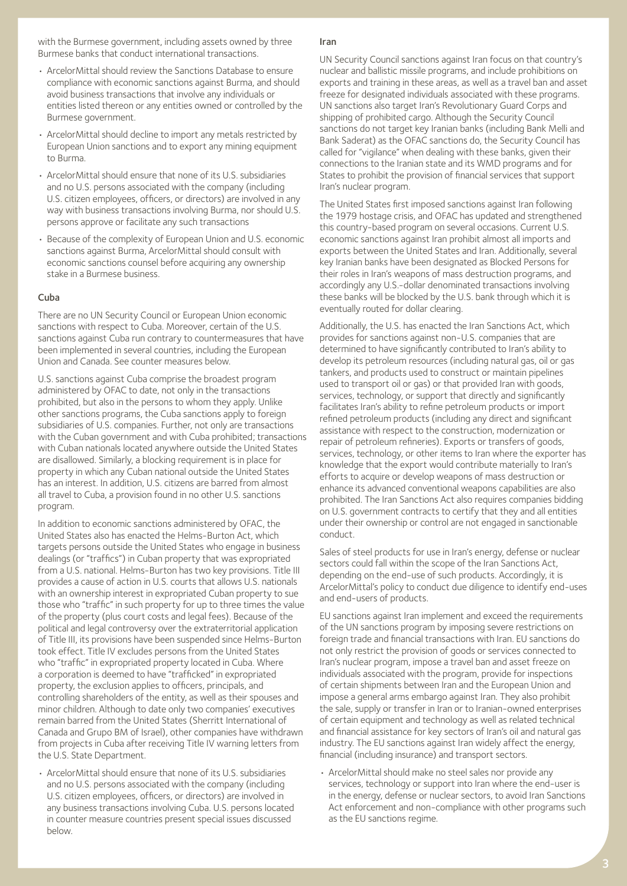with the Burmese government, including assets owned by three Burmese banks that conduct international transactions.

- ArcelorMittal should review the Sanctions Database to ensure compliance with economic sanctions against Burma, and should avoid business transactions that involve any individuals or entities listed thereon or any entities owned or controlled by the Burmese government.
- ArcelorMittal should decline to import any metals restricted by European Union sanctions and to export any mining equipment to Burma.
- ArcelorMittal should ensure that none of its U.S. subsidiaries and no U.S. persons associated with the company (including U.S. citizen employees, officers, or directors) are involved in any way with business transactions involving Burma, nor should U.S. persons approve or facilitate any such transactions
- Because of the complexity of European Union and U.S. economic sanctions against Burma, ArcelorMittal should consult with economic sanctions counsel before acquiring any ownership stake in a Burmese business.

#### Cuba

There are no UN Security Council or European Union economic sanctions with respect to Cuba. Moreover, certain of the U.S. sanctions against Cuba run contrary to countermeasures that have been implemented in several countries, including the European Union and Canada. See counter measures below.

U.S. sanctions against Cuba comprise the broadest program administered by OFAC to date, not only in the transactions prohibited, but also in the persons to whom they apply. Unlike other sanctions programs, the Cuba sanctions apply to foreign subsidiaries of U.S. companies. Further, not only are transactions with the Cuban government and with Cuba prohibited; transactions with Cuban nationals located anywhere outside the United States are disallowed. Similarly, a blocking requirement is in place for property in which any Cuban national outside the United States has an interest. In addition, U.S. citizens are barred from almost all travel to Cuba, a provision found in no other U.S. sanctions program.

In addition to economic sanctions administered by OFAC, the United States also has enacted the Helms-Burton Act, which targets persons outside the United States who engage in business dealings (or "traffics") in Cuban property that was expropriated from a U.S. national. Helms-Burton has two key provisions. Title III provides a cause of action in U.S. courts that allows U.S. nationals with an ownership interest in expropriated Cuban property to sue those who "traffic" in such property for up to three times the value of the property (plus court costs and legal fees). Because of the political and legal controversy over the extraterritorial application of Title III, its provisions have been suspended since Helms-Burton took effect. Title IV excludes persons from the United States who "traffic" in expropriated property located in Cuba. Where a corporation is deemed to have "trafficked" in expropriated property, the exclusion applies to officers, principals, and controlling shareholders of the entity, as well as their spouses and minor children. Although to date only two companies' executives remain barred from the United States (Sherritt International of Canada and Grupo BM of Israel), other companies have withdrawn from projects in Cuba after receiving Title IV warning letters from the U.S. State Department.

• ArcelorMittal should ensure that none of its U.S. subsidiaries and no U.S. persons associated with the company (including U.S. citizen employees, officers, or directors) are involved in any business transactions involving Cuba. U.S. persons located in counter measure countries present special issues discussed below.

UN Security Council sanctions against Iran focus on that country's nuclear and ballistic missile programs, and include prohibitions on exports and training in these areas, as well as a travel ban and asset freeze for designated individuals associated with these programs. UN sanctions also target Iran's Revolutionary Guard Corps and shipping of prohibited cargo. Although the Security Council sanctions do not target key Iranian banks (including Bank Melli and Bank Saderat) as the OFAC sanctions do, the Security Council has called for "vigilance" when dealing with these banks, given their connections to the Iranian state and its WMD programs and for States to prohibit the provision of financial services that support Iran's nuclear program.

Iran

The United States first imposed sanctions against Iran following the 1979 hostage crisis, and OFAC has updated and strengthened this country-based program on several occasions. Current U.S. economic sanctions against Iran prohibit almost all imports and exports between the United States and Iran. Additionally, several key Iranian banks have been designated as Blocked Persons for their roles in Iran's weapons of mass destruction programs, and accordingly any U.S.-dollar denominated transactions involving these banks will be blocked by the U.S. bank through which it is eventually routed for dollar clearing.

Additionally, the U.S. has enacted the Iran Sanctions Act, which provides for sanctions against non-U.S. companies that are determined to have significantly contributed to Iran's ability to develop its petroleum resources (including natural gas, oil or gas tankers, and products used to construct or maintain pipelines used to transport oil or gas) or that provided Iran with goods, services, technology, or support that directly and significantly facilitates Iran's ability to refine petroleum products or import refined petroleum products (including any direct and significant assistance with respect to the construction, modernization or repair of petroleum refineries). Exports or transfers of goods, services, technology, or other items to Iran where the exporter has knowledge that the export would contribute materially to Iran's efforts to acquire or develop weapons of mass destruction or enhance its advanced conventional weapons capabilities are also prohibited. The Iran Sanctions Act also requires companies bidding on U.S. government contracts to certify that they and all entities under their ownership or control are not engaged in sanctionable conduct.

Sales of steel products for use in Iran's energy, defense or nuclear sectors could fall within the scope of the Iran Sanctions Act, depending on the end-use of such products. Accordingly, it is ArcelorMittal's policy to conduct due diligence to identify end-uses and end-users of products.

EU sanctions against Iran implement and exceed the requirements of the UN sanctions program by imposing severe restrictions on foreign trade and financial transactions with Iran. EU sanctions do not only restrict the provision of goods or services connected to Iran's nuclear program, impose a travel ban and asset freeze on individuals associated with the program, provide for inspections of certain shipments between Iran and the European Union and impose a general arms embargo against Iran. They also prohibit the sale, supply or transfer in Iran or to Iranian-owned enterprises of certain equipment and technology as well as related technical and financial assistance for key sectors of Iran's oil and natural gas industry. The EU sanctions against Iran widely affect the energy, financial (including insurance) and transport sectors.

• ArcelorMittal should make no steel sales nor provide any services, technology or support into Iran where the end-user is in the energy, defense or nuclear sectors, to avoid Iran Sanctions Act enforcement and non-compliance with other programs such as the EU sanctions regime.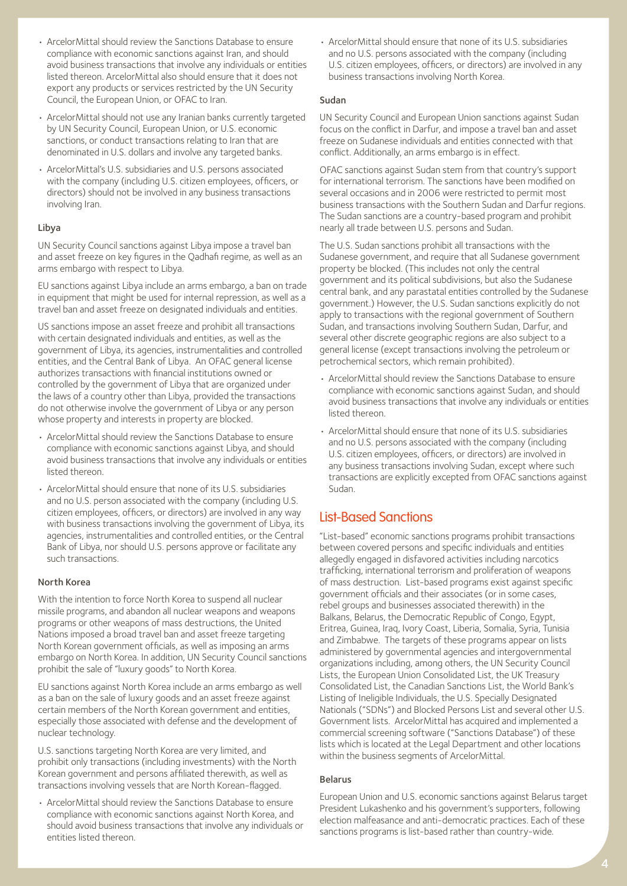- ArcelorMittal should review the Sanctions Database to ensure compliance with economic sanctions against Iran, and should avoid business transactions that involve any individuals or entities listed thereon. ArcelorMittal also should ensure that it does not export any products or services restricted by the UN Security Council, the European Union, or OFAC to Iran.
- ArcelorMittal should not use any Iranian banks currently targeted by UN Security Council, European Union, or U.S. economic sanctions, or conduct transactions relating to Iran that are denominated in U.S. dollars and involve any targeted banks.
- ArcelorMittal's U.S. subsidiaries and U.S. persons associated with the company (including U.S. citizen employees, officers, or directors) should not be involved in any business transactions involving Iran.

#### Libya

UN Security Council sanctions against Libya impose a travel ban and asset freeze on key figures in the Qadhafi regime, as well as an arms embargo with respect to Libya.

EU sanctions against Libya include an arms embargo, a ban on trade in equipment that might be used for internal repression, as well as a travel ban and asset freeze on designated individuals and entities.

US sanctions impose an asset freeze and prohibit all transactions with certain designated individuals and entities, as well as the government of Libya, its agencies, instrumentalities and controlled entities, and the Central Bank of Libya. An OFAC general license authorizes transactions with financial institutions owned or controlled by the government of Libya that are organized under the laws of a country other than Libya, provided the transactions do not otherwise involve the government of Libya or any person whose property and interests in property are blocked.

- ArcelorMittal should review the Sanctions Database to ensure compliance with economic sanctions against Libya, and should avoid business transactions that involve any individuals or entities listed thereon.
- ArcelorMittal should ensure that none of its U.S. subsidiaries and no U.S. person associated with the company (including U.S. citizen employees, officers, or directors) are involved in any way with business transactions involving the government of Libya, its agencies, instrumentalities and controlled entities, or the Central Bank of Libya, nor should U.S. persons approve or facilitate any such transactions.

#### North Korea

With the intention to force North Korea to suspend all nuclear missile programs, and abandon all nuclear weapons and weapons programs or other weapons of mass destructions, the United Nations imposed a broad travel ban and asset freeze targeting North Korean government officials, as well as imposing an arms embargo on North Korea. In addition, UN Security Council sanctions prohibit the sale of "luxury goods" to North Korea.

EU sanctions against North Korea include an arms embargo as well as a ban on the sale of luxury goods and an asset freeze against certain members of the North Korean government and entities, especially those associated with defense and the development of nuclear technology.

U.S. sanctions targeting North Korea are very limited, and prohibit only transactions (including investments) with the North Korean government and persons affiliated therewith, as well as transactions involving vessels that are North Korean-flagged.

• ArcelorMittal should review the Sanctions Database to ensure compliance with economic sanctions against North Korea, and should avoid business transactions that involve any individuals or entities listed thereon.

• ArcelorMittal should ensure that none of its U.S. subsidiaries and no U.S. persons associated with the company (including U.S. citizen employees, officers, or directors) are involved in any business transactions involving North Korea.

#### Sudan

UN Security Council and European Union sanctions against Sudan focus on the conflict in Darfur, and impose a travel ban and asset freeze on Sudanese individuals and entities connected with that conflict. Additionally, an arms embargo is in effect.

OFAC sanctions against Sudan stem from that country's support for international terrorism. The sanctions have been modified on several occasions and in 2006 were restricted to permit most business transactions with the Southern Sudan and Darfur regions. The Sudan sanctions are a country-based program and prohibit nearly all trade between U.S. persons and Sudan.

The U.S. Sudan sanctions prohibit all transactions with the Sudanese government, and require that all Sudanese government property be blocked. (This includes not only the central government and its political subdivisions, but also the Sudanese central bank, and any parastatal entities controlled by the Sudanese government.) However, the U.S. Sudan sanctions explicitly do not apply to transactions with the regional government of Southern Sudan, and transactions involving Southern Sudan, Darfur, and several other discrete geographic regions are also subject to a general license (except transactions involving the petroleum or petrochemical sectors, which remain prohibited).

- ArcelorMittal should review the Sanctions Database to ensure compliance with economic sanctions against Sudan, and should avoid business transactions that involve any individuals or entities listed thereon.
- ArcelorMittal should ensure that none of its U.S. subsidiaries and no U.S. persons associated with the company (including U.S. citizen employees, officers, or directors) are involved in any business transactions involving Sudan, except where such transactions are explicitly excepted from OFAC sanctions against Sudan.

# List-Based Sanctions

"List-based" economic sanctions programs prohibit transactions between covered persons and specific individuals and entities allegedly engaged in disfavored activities including narcotics trafficking, international terrorism and proliferation of weapons of mass destruction. List-based programs exist against specific government officials and their associates (or in some cases, rebel groups and businesses associated therewith) in the Balkans, Belarus, the Democratic Republic of Congo, Egypt, Eritrea, Guinea, Iraq, Ivory Coast, Liberia, Somalia, Syria, Tunisia and Zimbabwe. The targets of these programs appear on lists administered by governmental agencies and intergovernmental organizations including, among others, the UN Security Council Lists, the European Union Consolidated List, the UK Treasury Consolidated List, the Canadian Sanctions List, the World Bank's Listing of Ineligible Individuals, the U.S. Specially Designated Nationals ("SDNs") and Blocked Persons List and several other U.S. Government lists. ArcelorMittal has acquired and implemented a commercial screening software ("Sanctions Database") of these lists which is located at the Legal Department and other locations within the business segments of ArcelorMittal.

#### Belarus

European Union and U.S. economic sanctions against Belarus target President Lukashenko and his government's supporters, following election malfeasance and anti-democratic practices. Each of these sanctions programs is list-based rather than country-wide.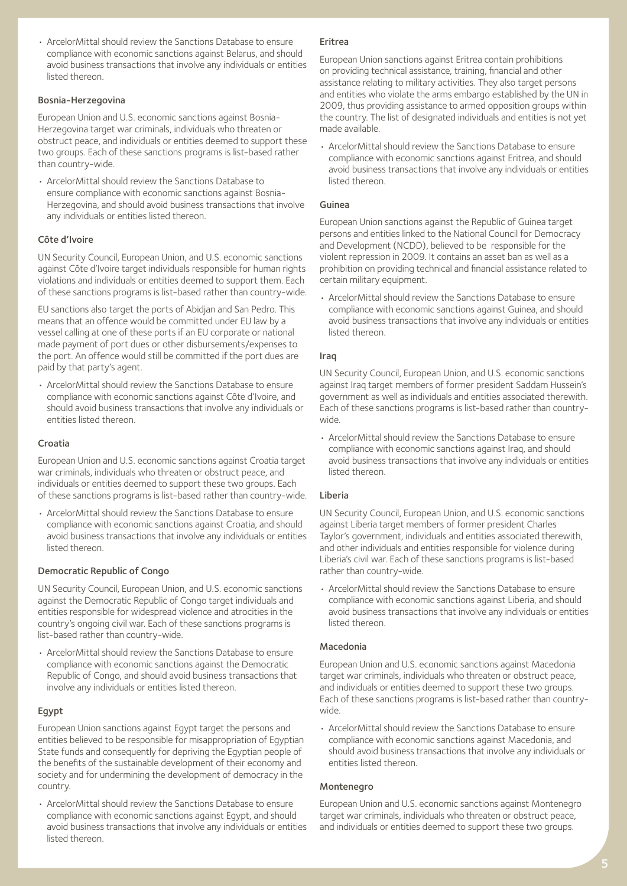• ArcelorMittal should review the Sanctions Database to ensure compliance with economic sanctions against Belarus, and should avoid business transactions that involve any individuals or entities listed thereon.

#### Bosnia-Herzegovina

European Union and U.S. economic sanctions against Bosnia-Herzegovina target war criminals, individuals who threaten or obstruct peace, and individuals or entities deemed to support these two groups. Each of these sanctions programs is list-based rather than country-wide.

• ArcelorMittal should review the Sanctions Database to ensure compliance with economic sanctions against Bosnia-Herzegovina, and should avoid business transactions that involve any individuals or entities listed thereon.

## Côte d'Ivoire

UN Security Council, European Union, and U.S. economic sanctions against Côte d'Ivoire target individuals responsible for human rights violations and individuals or entities deemed to support them. Each of these sanctions programs is list-based rather than country-wide.

EU sanctions also target the ports of Abidjan and San Pedro. This means that an offence would be committed under EU law by a vessel calling at one of these ports if an EU corporate or national made payment of port dues or other disbursements/expenses to the port. An offence would still be committed if the port dues are paid by that party's agent.

• ArcelorMittal should review the Sanctions Database to ensure compliance with economic sanctions against Côte d'Ivoire, and should avoid business transactions that involve any individuals or entities listed thereon.

#### Croatia

European Union and U.S. economic sanctions against Croatia target war criminals, individuals who threaten or obstruct peace, and individuals or entities deemed to support these two groups. Each of these sanctions programs is list-based rather than country-wide.

• ArcelorMittal should review the Sanctions Database to ensure compliance with economic sanctions against Croatia, and should avoid business transactions that involve any individuals or entities listed thereon.

## Democratic Republic of Congo

UN Security Council, European Union, and U.S. economic sanctions against the Democratic Republic of Congo target individuals and entities responsible for widespread violence and atrocities in the country's ongoing civil war. Each of these sanctions programs is list-based rather than country-wide.

• ArcelorMittal should review the Sanctions Database to ensure compliance with economic sanctions against the Democratic Republic of Congo, and should avoid business transactions that involve any individuals or entities listed thereon.

## Egypt

European Union sanctions against Egypt target the persons and entities believed to be responsible for misappropriation of Egyptian State funds and consequently for depriving the Egyptian people of the benefits of the sustainable development of their economy and society and for undermining the development of democracy in the country.

• ArcelorMittal should review the Sanctions Database to ensure compliance with economic sanctions against Egypt, and should avoid business transactions that involve any individuals or entities listed thereon.

#### Eritrea

European Union sanctions against Eritrea contain prohibitions on providing technical assistance, training, financial and other assistance relating to military activities. They also target persons and entities who violate the arms embargo established by the UN in 2009, thus providing assistance to armed opposition groups within the country. The list of designated individuals and entities is not yet made available.

• ArcelorMittal should review the Sanctions Database to ensure compliance with economic sanctions against Eritrea, and should avoid business transactions that involve any individuals or entities listed thereon.

#### Guinea

European Union sanctions against the Republic of Guinea target persons and entities linked to the National Council for Democracy and Development (NCDD), believed to be responsible for the violent repression in 2009. It contains an asset ban as well as a prohibition on providing technical and financial assistance related to certain military equipment.

• ArcelorMittal should review the Sanctions Database to ensure compliance with economic sanctions against Guinea, and should avoid business transactions that involve any individuals or entities listed thereon.

#### Iraq

UN Security Council, European Union, and U.S. economic sanctions against Iraq target members of former president Saddam Hussein's government as well as individuals and entities associated therewith. Each of these sanctions programs is list-based rather than countrywide.

• ArcelorMittal should review the Sanctions Database to ensure compliance with economic sanctions against Iraq, and should avoid business transactions that involve any individuals or entities listed thereon.

#### Liberia

UN Security Council, European Union, and U.S. economic sanctions against Liberia target members of former president Charles Taylor's government, individuals and entities associated therewith, and other individuals and entities responsible for violence during Liberia's civil war. Each of these sanctions programs is list-based rather than country-wide.

• ArcelorMittal should review the Sanctions Database to ensure compliance with economic sanctions against Liberia, and should avoid business transactions that involve any individuals or entities listed thereon.

## Macedonia

European Union and U.S. economic sanctions against Macedonia target war criminals, individuals who threaten or obstruct peace, and individuals or entities deemed to support these two groups. Each of these sanctions programs is list-based rather than countrywide.

• ArcelorMittal should review the Sanctions Database to ensure compliance with economic sanctions against Macedonia, and should avoid business transactions that involve any individuals or entities listed thereon.

## Montenegro

European Union and U.S. economic sanctions against Montenegro target war criminals, individuals who threaten or obstruct peace, and individuals or entities deemed to support these two groups.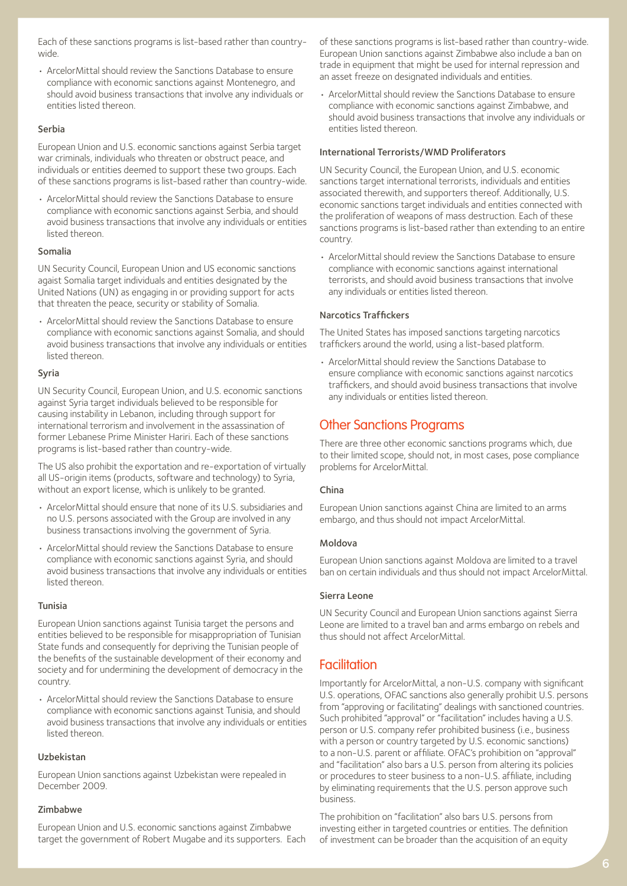Each of these sanctions programs is list-based rather than countrywide.

• ArcelorMittal should review the Sanctions Database to ensure compliance with economic sanctions against Montenegro, and should avoid business transactions that involve any individuals or entities listed thereon.

#### Serbia

European Union and U.S. economic sanctions against Serbia target war criminals, individuals who threaten or obstruct peace, and individuals or entities deemed to support these two groups. Each of these sanctions programs is list-based rather than country-wide.

• ArcelorMittal should review the Sanctions Database to ensure compliance with economic sanctions against Serbia, and should avoid business transactions that involve any individuals or entities listed thereon.

#### Somalia

UN Security Council, European Union and US economic sanctions agaist Somalia target individuals and entities designated by the United Nations (UN) as engaging in or providing support for acts that threaten the peace, security or stability of Somalia.

• ArcelorMittal should review the Sanctions Database to ensure compliance with economic sanctions against Somalia, and should avoid business transactions that involve any individuals or entities listed thereon.

#### Syria

UN Security Council, European Union, and U.S. economic sanctions against Syria target individuals believed to be responsible for causing instability in Lebanon, including through support for international terrorism and involvement in the assassination of former Lebanese Prime Minister Hariri. Each of these sanctions programs is list-based rather than country-wide.

The US also prohibit the exportation and re-exportation of virtually all US-origin items (products, software and technology) to Syria, without an export license, which is unlikely to be granted.

- ArcelorMittal should ensure that none of its U.S. subsidiaries and no U.S. persons associated with the Group are involved in any business transactions involving the government of Syria.
- ArcelorMittal should review the Sanctions Database to ensure compliance with economic sanctions against Syria, and should avoid business transactions that involve any individuals or entities listed thereon.

#### Tunisia

European Union sanctions against Tunisia target the persons and entities believed to be responsible for misappropriation of Tunisian State funds and consequently for depriving the Tunisian people of the benefits of the sustainable development of their economy and society and for undermining the development of democracy in the country.

• ArcelorMittal should review the Sanctions Database to ensure compliance with economic sanctions against Tunisia, and should avoid business transactions that involve any individuals or entities listed thereon.

#### Uzbekistan

European Union sanctions against Uzbekistan were repealed in December 2009.

#### Zimbabwe

European Union and U.S. economic sanctions against Zimbabwe target the government of Robert Mugabe and its supporters. Each of these sanctions programs is list-based rather than country-wide. European Union sanctions against Zimbabwe also include a ban on trade in equipment that might be used for internal repression and an asset freeze on designated individuals and entities.

• ArcelorMittal should review the Sanctions Database to ensure compliance with economic sanctions against Zimbabwe, and should avoid business transactions that involve any individuals or entities listed thereon.

#### International Terrorists/WMD Proliferators

UN Security Council, the European Union, and U.S. economic sanctions target international terrorists, individuals and entities associated therewith, and supporters thereof. Additionally, U.S. economic sanctions target individuals and entities connected with the proliferation of weapons of mass destruction. Each of these sanctions programs is list-based rather than extending to an entire country.

• ArcelorMittal should review the Sanctions Database to ensure compliance with economic sanctions against international terrorists, and should avoid business transactions that involve any individuals or entities listed thereon.

#### Narcotics Traffickers

The United States has imposed sanctions targeting narcotics traffickers around the world, using a list-based platform.

• ArcelorMittal should review the Sanctions Database to ensure compliance with economic sanctions against narcotics traffickers, and should avoid business transactions that involve any individuals or entities listed thereon.

## Other Sanctions Programs

There are three other economic sanctions programs which, due to their limited scope, should not, in most cases, pose compliance problems for ArcelorMittal.

#### China

European Union sanctions against China are limited to an arms embargo, and thus should not impact ArcelorMittal.

#### Moldova

European Union sanctions against Moldova are limited to a travel ban on certain individuals and thus should not impact ArcelorMittal.

#### Sierra Leone

UN Security Council and European Union sanctions against Sierra Leone are limited to a travel ban and arms embargo on rebels and thus should not affect ArcelorMittal.

## Facilitation

Importantly for ArcelorMittal, a non-U.S. company with significant U.S. operations, OFAC sanctions also generally prohibit U.S. persons from "approving or facilitating" dealings with sanctioned countries. Such prohibited "approval" or "facilitation" includes having a U.S. person or U.S. company refer prohibited business (i.e., business with a person or country targeted by U.S. economic sanctions) to a non-U.S. parent or affiliate. OFAC's prohibition on "approval" and "facilitation" also bars a U.S. person from altering its policies or procedures to steer business to a non-U.S. affiliate, including by eliminating requirements that the U.S. person approve such business.

The prohibition on "facilitation" also bars U.S. persons from investing either in targeted countries or entities. The definition of investment can be broader than the acquisition of an equity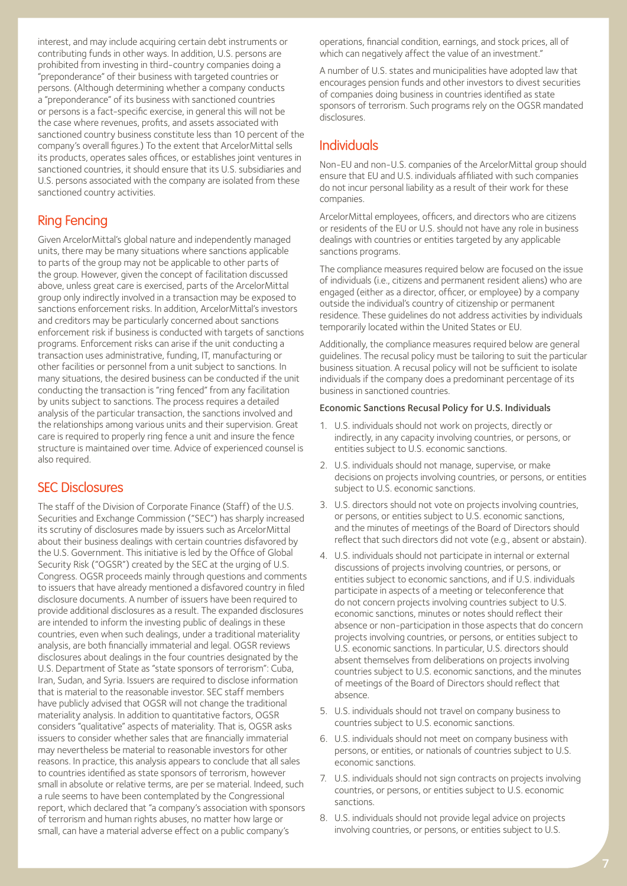interest, and may include acquiring certain debt instruments or contributing funds in other ways. In addition, U.S. persons are prohibited from investing in third-country companies doing a "preponderance" of their business with targeted countries or persons. (Although determining whether a company conducts a "preponderance" of its business with sanctioned countries or persons is a fact-specific exercise, in general this will not be the case where revenues, profits, and assets associated with sanctioned country business constitute less than 10 percent of the company's overall figures.) To the extent that ArcelorMittal sells its products, operates sales offices, or establishes joint ventures in sanctioned countries, it should ensure that its U.S. subsidiaries and U.S. persons associated with the company are isolated from these sanctioned country activities.

# Ring Fencing

Given ArcelorMittal's global nature and independently managed units, there may be many situations where sanctions applicable to parts of the group may not be applicable to other parts of the group. However, given the concept of facilitation discussed above, unless great care is exercised, parts of the ArcelorMittal group only indirectly involved in a transaction may be exposed to sanctions enforcement risks. In addition, ArcelorMittal's investors and creditors may be particularly concerned about sanctions enforcement risk if business is conducted with targets of sanctions programs. Enforcement risks can arise if the unit conducting a transaction uses administrative, funding, IT, manufacturing or other facilities or personnel from a unit subject to sanctions. In many situations, the desired business can be conducted if the unit conducting the transaction is "ring fenced" from any facilitation by units subject to sanctions. The process requires a detailed analysis of the particular transaction, the sanctions involved and the relationships among various units and their supervision. Great care is required to properly ring fence a unit and insure the fence structure is maintained over time. Advice of experienced counsel is also required.

## SEC Disclosures

The staff of the Division of Corporate Finance (Staff) of the U.S. Securities and Exchange Commission ("SEC") has sharply increased its scrutiny of disclosures made by issuers such as ArcelorMittal about their business dealings with certain countries disfavored by the U.S. Government. This initiative is led by the Office of Global Security Risk ("OGSR") created by the SEC at the urging of U.S. Congress. OGSR proceeds mainly through questions and comments to issuers that have already mentioned a disfavored country in filed disclosure documents. A number of issuers have been required to provide additional disclosures as a result. The expanded disclosures are intended to inform the investing public of dealings in these countries, even when such dealings, under a traditional materiality analysis, are both financially immaterial and legal. OGSR reviews disclosures about dealings in the four countries designated by the U.S. Department of State as "state sponsors of terrorism": Cuba, Iran, Sudan, and Syria. Issuers are required to disclose information that is material to the reasonable investor. SEC staff members have publicly advised that OGSR will not change the traditional materiality analysis. In addition to quantitative factors, OGSR considers "qualitative" aspects of materiality. That is, OGSR asks issuers to consider whether sales that are financially immaterial may nevertheless be material to reasonable investors for other reasons. In practice, this analysis appears to conclude that all sales to countries identified as state sponsors of terrorism, however small in absolute or relative terms, are per se material. Indeed, such a rule seems to have been contemplated by the Congressional report, which declared that "a company's association with sponsors of terrorism and human rights abuses, no matter how large or small, can have a material adverse effect on a public company's

operations, financial condition, earnings, and stock prices, all of which can negatively affect the value of an investment."

A number of U.S. states and municipalities have adopted law that encourages pension funds and other investors to divest securities of companies doing business in countries identified as state sponsors of terrorism. Such programs rely on the OGSR mandated disclosures.

## Individuals

Non-EU and non-U.S. companies of the ArcelorMittal group should ensure that EU and U.S. individuals affiliated with such companies do not incur personal liability as a result of their work for these companies.

ArcelorMittal employees, officers, and directors who are citizens or residents of the EU or U.S. should not have any role in business dealings with countries or entities targeted by any applicable sanctions programs.

The compliance measures required below are focused on the issue of individuals (i.e., citizens and permanent resident aliens) who are engaged (either as a director, officer, or employee) by a company outside the individual's country of citizenship or permanent residence. These guidelines do not address activities by individuals temporarily located within the United States or EU.

Additionally, the compliance measures required below are general guidelines. The recusal policy must be tailoring to suit the particular business situation. A recusal policy will not be sufficient to isolate individuals if the company does a predominant percentage of its business in sanctioned countries.

#### Economic Sanctions Recusal Policy for U.S. Individuals

- 1. U.S. individuals should not work on projects, directly or indirectly, in any capacity involving countries, or persons, or entities subject to U.S. economic sanctions.
- 2. U.S. individuals should not manage, supervise, or make decisions on projects involving countries, or persons, or entities subject to U.S. economic sanctions.
- 3. U.S. directors should not vote on projects involving countries, or persons, or entities subject to U.S. economic sanctions, and the minutes of meetings of the Board of Directors should reflect that such directors did not vote (e.g., absent or abstain).
- 4. U.S. individuals should not participate in internal or external discussions of projects involving countries, or persons, or entities subject to economic sanctions, and if U.S. individuals participate in aspects of a meeting or teleconference that do not concern projects involving countries subject to U.S. economic sanctions, minutes or notes should reflect their absence or non-participation in those aspects that do concern projects involving countries, or persons, or entities subject to U.S. economic sanctions. In particular, U.S. directors should absent themselves from deliberations on projects involving countries subject to U.S. economic sanctions, and the minutes of meetings of the Board of Directors should reflect that absence.
- 5. U.S. individuals should not travel on company business to countries subject to U.S. economic sanctions.
- 6. U.S. individuals should not meet on company business with persons, or entities, or nationals of countries subject to U.S. economic sanctions.
- 7. U.S. individuals should not sign contracts on projects involving countries, or persons, or entities subject to U.S. economic sanctions.
- 8. U.S. individuals should not provide legal advice on projects involving countries, or persons, or entities subject to U.S.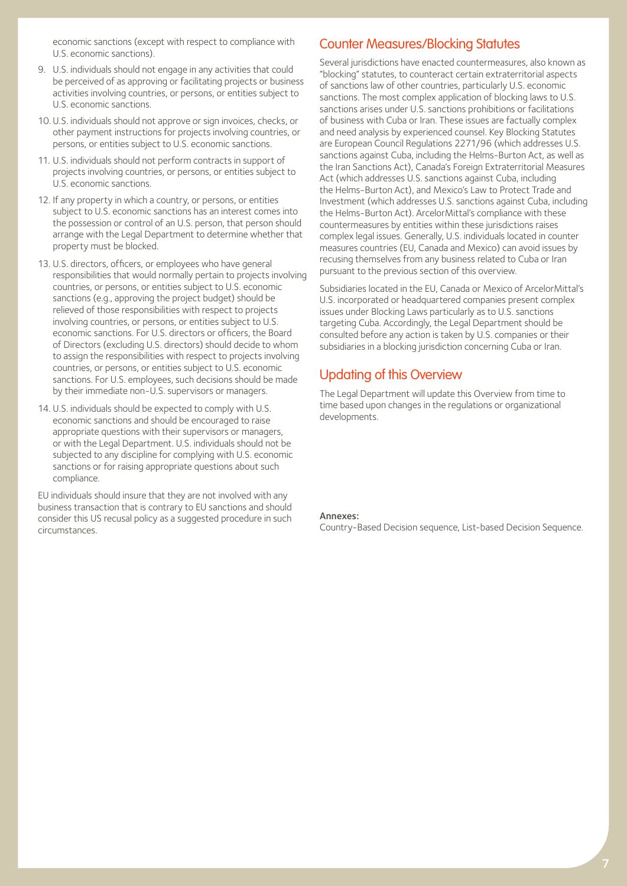economic sanctions (except with respect to compliance with U.S. economic sanctions).

- 9. U.S. individuals should not engage in any activities that could be perceived of as approving or facilitating projects or business activities involving countries, or persons, or entities subject to U.S. economic sanctions.
- 10. U.S. individuals should not approve or sign invoices, checks, or other payment instructions for projects involving countries, or persons, or entities subject to U.S. economic sanctions.
- 11. U.S. individuals should not perform contracts in support of projects involving countries, or persons, or entities subject to U.S. economic sanctions.
- 12. If any property in which a country, or persons, or entities subject to U.S. economic sanctions has an interest comes into the possession or control of an U.S. person, that person should arrange with the Legal Department to determine whether that property must be blocked.
- 13. U.S. directors, officers, or employees who have general responsibilities that would normally pertain to projects involving countries, or persons, or entities subject to U.S. economic sanctions (e.g., approving the project budget) should be relieved of those responsibilities with respect to projects involving countries, or persons, or entities subject to U.S. economic sanctions. For U.S. directors or officers, the Board of Directors (excluding U.S. directors) should decide to whom to assign the responsibilities with respect to projects involving countries, or persons, or entities subject to U.S. economic sanctions. For U.S. employees, such decisions should be made by their immediate non-U.S. supervisors or managers.
- 14. U.S. individuals should be expected to comply with U.S. economic sanctions and should be encouraged to raise appropriate questions with their supervisors or managers, or with the Legal Department. U.S. individuals should not be subjected to any discipline for complying with U.S. economic sanctions or for raising appropriate questions about such compliance.

EU individuals should insure that they are not involved with any business transaction that is contrary to EU sanctions and should consider this US recusal policy as a suggested procedure in such circumstances.

## Counter Measures/Blocking Statutes

Several jurisdictions have enacted countermeasures, also known as "blocking" statutes, to counteract certain extraterritorial aspects of sanctions law of other countries, particularly U.S. economic sanctions. The most complex application of blocking laws to U.S. sanctions arises under U.S. sanctions prohibitions or facilitations of business with Cuba or Iran. These issues are factually complex and need analysis by experienced counsel. Key Blocking Statutes are European Council Regulations 2271/96 (which addresses U.S. sanctions against Cuba, including the Helms-Burton Act, as well as the Iran Sanctions Act), Canada's Foreign Extraterritorial Measures Act (which addresses U.S. sanctions against Cuba, including the Helms-Burton Act), and Mexico's Law to Protect Trade and Investment (which addresses U.S. sanctions against Cuba, including the Helms-Burton Act). ArcelorMittal's compliance with these countermeasures by entities within these jurisdictions raises complex legal issues. Generally, U.S. individuals located in counter measures countries (EU, Canada and Mexico) can avoid issues by recusing themselves from any business related to Cuba or Iran pursuant to the previous section of this overview.

Subsidiaries located in the EU, Canada or Mexico of ArcelorMittal's U.S. incorporated or headquartered companies present complex issues under Blocking Laws particularly as to U.S. sanctions targeting Cuba. Accordingly, the Legal Department should be consulted before any action is taken by U.S. companies or their subsidiaries in a blocking jurisdiction concerning Cuba or Iran.

## Updating of this Overview

The Legal Department will update this Overview from time to time based upon changes in the regulations or organizational developments.

#### Annexes:

Country-Based Decision sequence, List-based Decision Sequence.